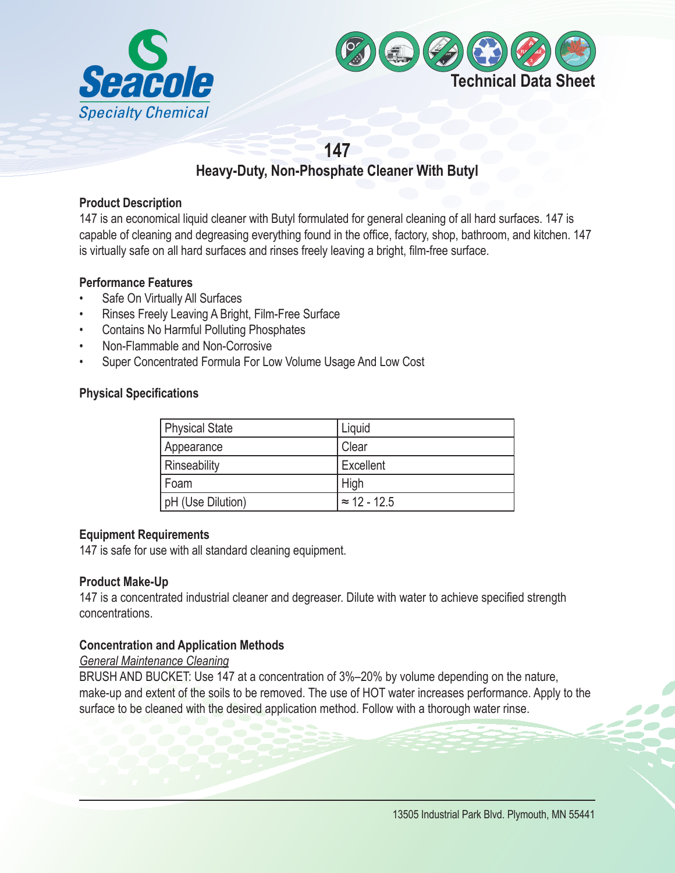



# **147**

## **Heavy-Duty, Non-Phosphate Cleaner With Butyl**

## **Product Description**

147 is an economical liquid cleaner with Butyl formulated for general cleaning of all hard surfaces. 147 is capable of cleaning and degreasing everything found in the office, factory, shop, bathroom, and kitchen. 147 is virtually safe on all hard surfaces and rinses freely leaving a bright, film-free surface.

## **Performance Features**

- Safe On Virtually All Surfaces
- Rinses Freely Leaving A Bright, Film-Free Surface
- Contains No Harmful Polluting Phosphates
- Non-Flammable and Non-Corrosive
- Super Concentrated Formula For Low Volume Usage And Low Cost

## **Physical Specifications**

| <b>Physical State</b> | Liquid              |
|-----------------------|---------------------|
| Appearance            | . Clear             |
| Rinseability          | Excellent           |
| Foam                  | High                |
| pH (Use Dilution)     | $\approx$ 12 - 12.5 |

## **Equipment Requirements**

147 is safe for use with all standard cleaning equipment.

## **Product Make-Up**

147 is a concentrated industrial cleaner and degreaser. Dilute with water to achieve specified strength concentrations.

## **Concentration and Application Methods**

## *General Maintenance Cleaning*

BRUSH AND BUCKET: Use 147 at a concentration of 3%–20% by volume depending on the nature, make-up and extent of the soils to be removed. The use of HOT water increases performance. Apply to the surface to be cleaned with the desired application method. Follow with a thorough water rinse.